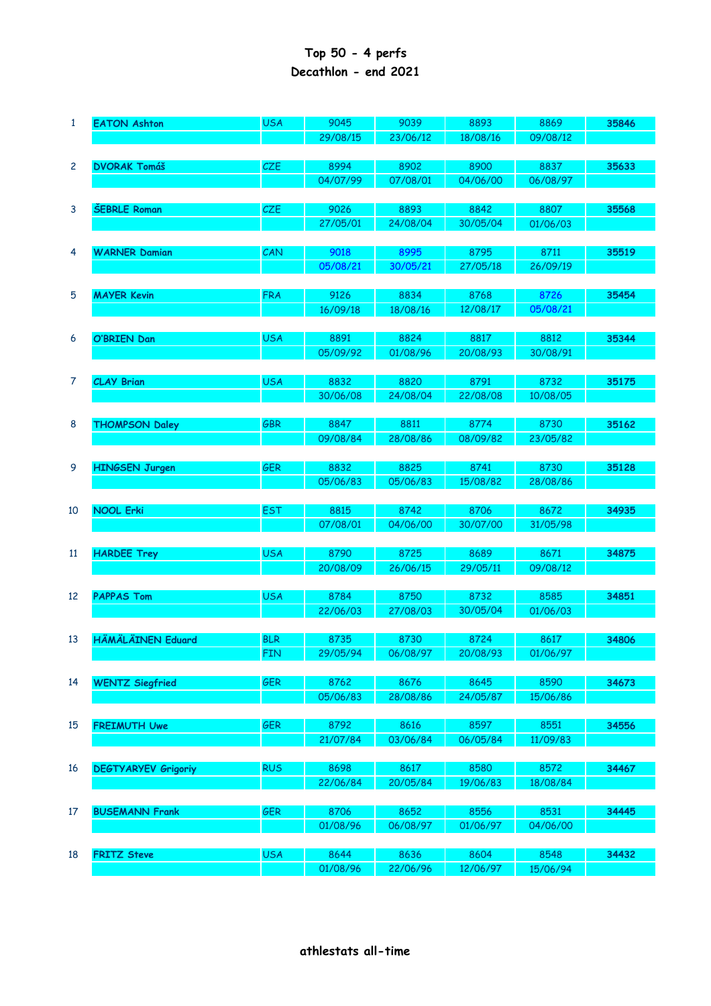## **Top 50 - 4 perfs Decathlon - end 2021**

| $\mathbf{1}$ | <b>EATON Ashton</b>        | <b>USA</b> | 9045     | 9039     | 8893             | 8869     | 35846 |
|--------------|----------------------------|------------|----------|----------|------------------|----------|-------|
|              |                            |            | 29/08/15 | 23/06/12 | 18/08/16         | 09/08/12 |       |
|              |                            |            |          |          |                  |          |       |
| $\mathbf{2}$ | <b>DVORAK Tomáš</b>        | CZE        | 8994     | 8902     | 8900             | 8837     | 35633 |
|              |                            |            | 04/07/99 | 07/08/01 | 04/06/00         | 06/08/97 |       |
|              |                            |            |          |          |                  |          |       |
| 3            | <b>ŠEBRLE Roman</b>        | CZE        | 9026     | 8893     | 8842             | 8807     | 35568 |
|              |                            |            | 27/05/01 | 24/08/04 | 30/05/04         | 01/06/03 |       |
|              |                            |            |          |          |                  |          |       |
| 4            | <b>WARNER Damian</b>       | CAN        | 9018     | 8995     | 8795             | 8711     | 35519 |
|              |                            |            | 05/08/21 | 30/05/21 | 27/05/18         | 26/09/19 |       |
| 5            | <b>MAYER Kevin</b>         | <b>FRA</b> | 9126     | 8834     | 8768             | 8726     | 35454 |
|              |                            |            | 16/09/18 | 18/08/16 | 12/08/17         | 05/08/21 |       |
|              |                            |            |          |          |                  |          |       |
| 6            | O'BRIEN Dan                | <b>USA</b> | 8891     | 8824     | 8817             | 8812     | 35344 |
|              |                            |            | 05/09/92 | 01/08/96 | 20/08/93         | 30/08/91 |       |
|              |                            |            |          |          |                  |          |       |
| 7            | <b>CLAY Brian</b>          | <b>USA</b> | 8832     | 8820     | 8791             | 8732     | 35175 |
|              |                            |            | 30/06/08 | 24/08/04 | 22/08/08         | 10/08/05 |       |
|              |                            |            |          |          |                  |          |       |
| 8            | <b>THOMPSON Daley</b>      | <b>GBR</b> | 8847     | 8811     | 8774             | 8730     | 35162 |
|              |                            |            | 09/08/84 | 28/08/86 | 08/09/82         | 23/05/82 |       |
|              |                            |            |          |          |                  |          |       |
| 9            | <b>HINGSEN Jurgen</b>      | <b>GER</b> | 8832     | 8825     | 8741             | 8730     | 35128 |
|              |                            |            | 05/06/83 | 05/06/83 | 15/08/82         | 28/08/86 |       |
|              |                            |            |          |          |                  |          |       |
| 10           | <b>NOOL Erki</b>           | <b>EST</b> | 8815     | 8742     | 8706             | 8672     | 34935 |
|              |                            |            | 07/08/01 | 04/06/00 | 30/07/00         | 31/05/98 |       |
|              |                            |            |          |          |                  |          |       |
| 11           | <b>HARDEE Trey</b>         | <b>USA</b> | 8790     | 8725     | 8689             | 8671     | 34875 |
|              |                            |            | 20/08/09 | 26/06/15 | 29/05/11         | 09/08/12 |       |
|              |                            |            |          |          |                  |          |       |
| 12           | <b>PAPPAS Tom</b>          | <b>USA</b> | 8784     | 8750     | 8732<br>30/05/04 | 8585     | 34851 |
|              |                            |            | 22/06/03 | 27/08/03 |                  | 01/06/03 |       |
| 13           | <b>HÄMÄLÄINEN Eduard</b>   | <b>BLR</b> | 8735     | 8730     | 8724             | 8617     | 34806 |
|              |                            | <b>FIN</b> | 29/05/94 | 06/08/97 | 20/08/93         | 01/06/97 |       |
|              |                            |            |          |          |                  |          |       |
| 14           | <b>WENTZ Siegfried</b>     | GER        | 8762     | 8676     | 8645             | 8590     | 34673 |
|              |                            |            | 05/06/83 | 28/08/86 | 24/05/87         | 15/06/86 |       |
|              |                            |            |          |          |                  |          |       |
| 15           | <b>FREIMUTH Uwe</b>        | <b>GER</b> | 8792     | 8616     | 8597             | 8551     | 34556 |
|              |                            |            | 21/07/84 | 03/06/84 | 06/05/84         | 11/09/83 |       |
|              |                            |            |          |          |                  |          |       |
| 16           | <b>DEGTYARYEV Grigoriy</b> | <b>RUS</b> | 8698     | 8617     | 8580             | 8572     | 34467 |
|              |                            |            | 22/06/84 | 20/05/84 | 19/06/83         | 18/08/84 |       |
|              |                            |            |          |          |                  |          |       |
| 17           | <b>BUSEMANN Frank</b>      | <b>GER</b> | 8706     | 8652     | 8556             | 8531     | 34445 |
|              |                            |            | 01/08/96 | 06/08/97 | 01/06/97         | 04/06/00 |       |
|              |                            |            |          |          |                  |          |       |
| 18           | <b>FRITZ Steve</b>         | <b>USA</b> | 8644     | 8636     | 8604             | 8548     | 34432 |
|              |                            |            | 01/08/96 | 22/06/96 | 12/06/97         | 15/06/94 |       |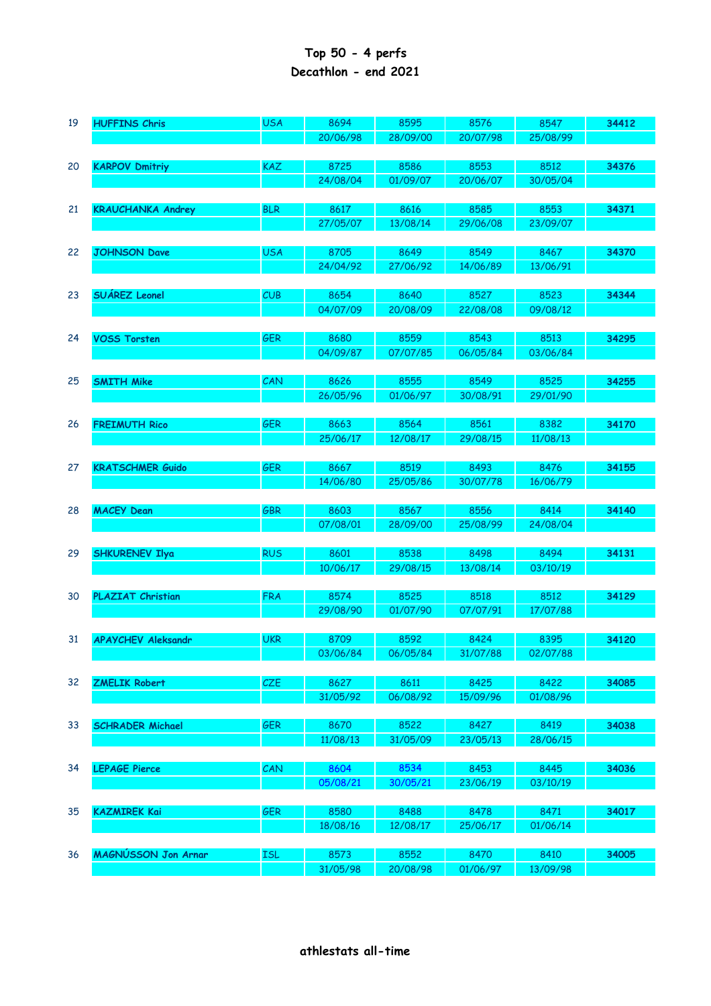## **Top 50 - 4 perfs Decathlon - end 2021**

| 19 | <b>HUFFINS Chris</b>      | <b>USA</b> | 8694             | 8595             | 8576             | 8547             | 34412 |
|----|---------------------------|------------|------------------|------------------|------------------|------------------|-------|
|    |                           |            | 20/06/98         | 28/09/00         | 20/07/98         | 25/08/99         |       |
| 20 | <b>KARPOV Dmitriy</b>     | <b>KAZ</b> | 8725             | 8586             | 8553             | 8512             | 34376 |
|    |                           |            | 24/08/04         | 01/09/07         | 20/06/07         | 30/05/04         |       |
|    |                           | <b>BLR</b> |                  |                  | 8585             | 8553             |       |
| 21 | <b>KRAUCHANKA Andrey</b>  |            | 8617<br>27/05/07 | 8616<br>13/08/14 | 29/06/08         | 23/09/07         | 34371 |
|    |                           |            |                  |                  |                  |                  |       |
| 22 | <b>JOHNSON Dave</b>       | <b>USA</b> | 8705             | 8649             | 8549             | 8467             | 34370 |
|    |                           |            | 24/04/92         | 27/06/92         | 14/06/89         | 13/06/91         |       |
| 23 | <b>SUÁREZ Leonel</b>      | CUB        | 8654             | 8640             | 8527             | 8523             | 34344 |
|    |                           |            | 04/07/09         | 20/08/09         | 22/08/08         | 09/08/12         |       |
|    |                           |            |                  |                  |                  |                  |       |
| 24 | <b>VOSS Torsten</b>       | GER        | 8680             | 8559             | 8543             | 8513             | 34295 |
|    |                           |            | 04/09/87         | 07/07/85         | 06/05/84         | 03/06/84         |       |
| 25 | <b>SMITH Mike</b>         | CAN        | 8626             | 8555             | 8549             | 8525             | 34255 |
|    |                           |            | 26/05/96         | 01/06/97         | 30/08/91         | 29/01/90         |       |
|    |                           |            |                  |                  |                  |                  |       |
| 26 | <b>FREIMUTH Rico</b>      | <b>GER</b> | 8663             | 8564             | 8561             | 8382             | 34170 |
|    |                           |            | 25/06/17         | 12/08/17         | 29/08/15         | 11/08/13         |       |
|    |                           |            |                  |                  |                  |                  |       |
| 27 | <b>KRATSCHMER Guido</b>   | GER        | 8667<br>14/06/80 | 8519<br>25/05/86 | 8493<br>30/07/78 | 8476<br>16/06/79 | 34155 |
|    |                           |            |                  |                  |                  |                  |       |
| 28 | <b>MACEY Dean</b>         | <b>GBR</b> | 8603             | 8567             | 8556             | 8414             | 34140 |
|    |                           |            | 07/08/01         | 28/09/00         | 25/08/99         | 24/08/04         |       |
|    |                           |            |                  |                  |                  |                  |       |
| 29 | <b>SHKURENEV Ilya</b>     | <b>RUS</b> | 8601<br>10/06/17 | 8538<br>29/08/15 | 8498<br>13/08/14 | 8494<br>03/10/19 | 34131 |
|    |                           |            |                  |                  |                  |                  |       |
| 30 | <b>PLAZIAT Christian</b>  | <b>FRA</b> | 8574             | 8525             | 8518             | 8512             | 34129 |
|    |                           |            | 29/08/90         | 01/07/90         | 07/07/91         | 17/07/88         |       |
|    |                           |            |                  |                  |                  |                  |       |
| 31 | <b>APAYCHEV Aleksandr</b> | <b>UKR</b> | 8709<br>03/06/84 | 8592<br>06/05/84 | 8424<br>31/07/88 | 8395<br>02/07/88 | 34120 |
|    |                           |            |                  |                  |                  |                  |       |
| 32 | <b>ZMELIK Robert</b>      | CZE        | 8627             | 8611             | 8425             | 8422             | 34085 |
|    |                           |            | 31/05/92         | 06/08/92         | 15/09/96         | 01/08/96         |       |
|    |                           |            |                  |                  |                  |                  |       |
| 33 | <b>SCHRADER Michael</b>   | <b>GER</b> | 8670<br>11/08/13 | 8522<br>31/05/09 | 8427<br>23/05/13 | 8419<br>28/06/15 | 34038 |
|    |                           |            |                  |                  |                  |                  |       |
| 34 | <b>LEPAGE Pierce</b>      | CAN        | 8604             | 8534             | 8453             | 8445             | 34036 |
|    |                           |            | 05/08/21         | 30/05/21         | 23/06/19         | 03/10/19         |       |
|    |                           |            |                  |                  |                  |                  |       |
| 35 | <b>KAZMIREK Kai</b>       | <b>GER</b> | 8580             | 8488             | 8478             | 8471             | 34017 |
|    |                           |            | 18/08/16         | 12/08/17         | 25/06/17         | 01/06/14         |       |
| 36 | MAGNÚSSON Jon Arnar       | <b>ISL</b> | 8573             | 8552             | 8470             | 8410             | 34005 |
|    |                           |            | 31/05/98         | 20/08/98         | 01/06/97         | 13/09/98         |       |